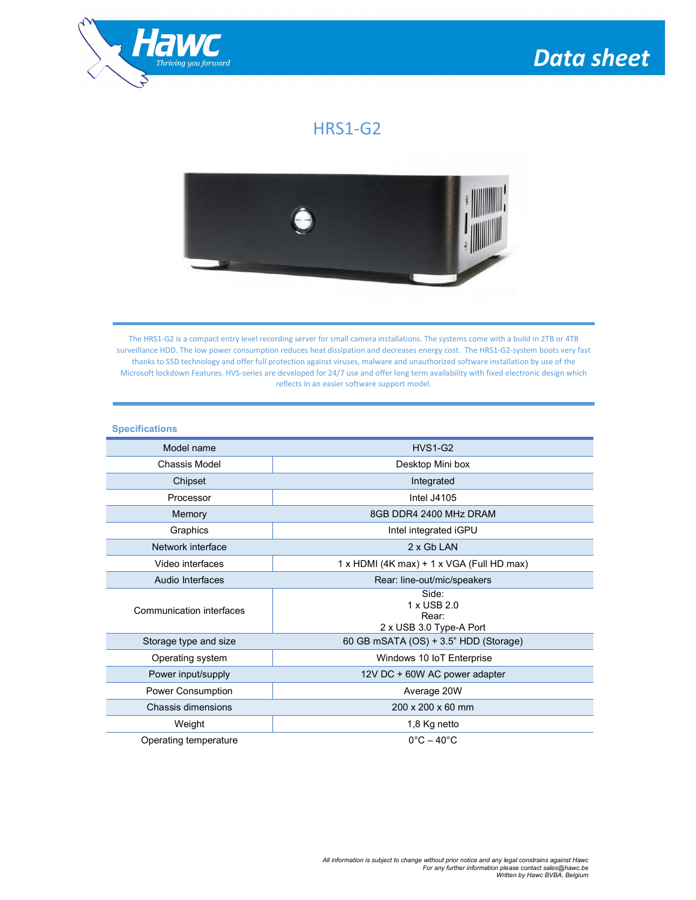

## $HRS1-G2$



The HRS1-G2 is a compact entry level recording server for small camera installations. The systems come with a build in 2TB or 4TB surveillance HDD. The low power consumption reduces heat dissipation and decreases energy cost. The HRS1-G2-system boots very fast thanks to SSD technology and offer full protection against viruses, malware and unauthorized software installation by use of the Microsoft lockdown Features. HVS-series are developed for 24/7 use and offer long term availability with fixed electronic design which reflects in an easier software support model.

## **Specifications** Model name HVS1-G2 Chassis Model **Desktop Mini box** Chipset **Integrated** Processor **Intel J4105** Memory 8GB DDR4 2400 MHz DRAM Graphics **Intel integrated iGPU** Network interface 2 x Gb LAN Video interfaces |  $\vert$  1 x HDMI (4K max) + 1 x VGA (Full HD max) Audio Interfaces **Rear: line-out/mic/speakers** Communication interfaces Side: 1 x USB 2.0 Rear: 2 x USB 3.0 Type-A Port Storage type and size 60 GB mSATA (OS) + 3.5" HDD (Storage) Operating system  $\parallel$  Windows 10 IoT Enterprise Power input/supply 12V DC + 60W AC power adapter Power Consumption **Average 20W** Chassis dimensions 200 x 200 x 60 mm Weight 1,8 Kg netto Operating temperature  $0^{\circ}C - 40^{\circ}C$